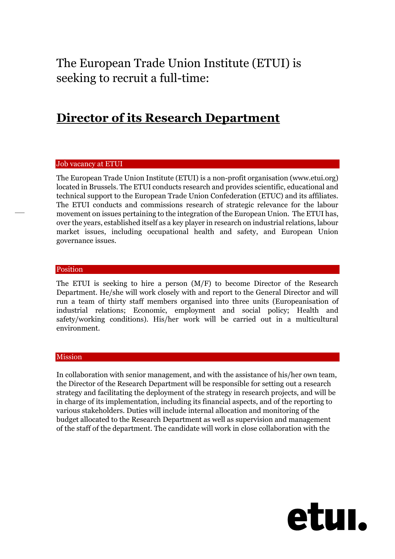The European Trade Union Institute (ETUI) is seeking to recruit a full-time:

# **Director of its Research Department**

#### Job vacancy at ETUI

The European Trade Union Institute (ETUI) is a non-profit organisation (www.etui.org) located in Brussels. The ETUI conducts research and provides scientific, educational and technical support to the European Trade Union Confederation (ETUC) and its affiliates. The ETUI conducts and commissions research of strategic relevance for the labour movement on issues pertaining to the integration of the European Union. The ETUI has, over the years, established itself as a key player in research on industrial relations, labour market issues, including occupational health and safety, and European Union governance issues.

#### Position

The ETUI is seeking to hire a person (M/F) to become Director of the Research Department. He/she will work closely with and report to the General Director and will run a team of thirty staff members organised into three units (Europeanisation of industrial relations; Economic, employment and social policy; Health and safety/working conditions). His/her work will be carried out in a multicultural environment.

#### Mission

In collaboration with senior management, and with the assistance of his/her own team, the Director of the Research Department will be responsible for setting out a research strategy and facilitating the deployment of the strategy in research projects, and will be in charge of its implementation, including its financial aspects, and of the reporting to various stakeholders. Duties will include internal allocation and monitoring of the budget allocated to the Research Department as well as supervision and management of the staff of the department. The candidate will work in close collaboration with the

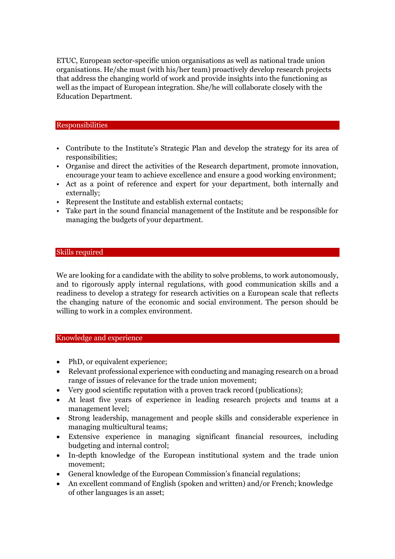ETUC, European sector-specific union organisations as well as national trade union organisations. He/she must (with his/her team) proactively develop research projects that address the changing world of work and provide insights into the functioning as well as the impact of European integration. She/he will collaborate closely with the Education Department.

## Responsibilities

- Contribute to the Institute's Strategic Plan and develop the strategy for its area of responsibilities;
- Organise and direct the activities of the Research department, promote innovation, encourage your team to achieve excellence and ensure a good working environment;
- Act as a point of reference and expert for your department, both internally and externally;
- Represent the Institute and establish external contacts;
- Take part in the sound financial management of the Institute and be responsible for managing the budgets of your department.

## Skills required

We are looking for a candidate with the ability to solve problems, to work autonomously, and to rigorously apply internal regulations, with good communication skills and a readiness to develop a strategy for research activities on a European scale that reflects the changing nature of the economic and social environment. The person should be willing to work in a complex environment.

#### Knowledge and experience

- PhD, or equivalent experience;
- Relevant professional experience with conducting and managing research on a broad range of issues of relevance for the trade union movement;
- Very good scientific reputation with a proven track record (publications);
- At least five years of experience in leading research projects and teams at a management level;
- Strong leadership, management and people skills and considerable experience in managing multicultural teams;
- Extensive experience in managing significant financial resources, including budgeting and internal control;
- In-depth knowledge of the European institutional system and the trade union movement;
- General knowledge of the European Commission's financial regulations;
- An excellent command of English (spoken and written) and/or French; knowledge of other languages is an asset;